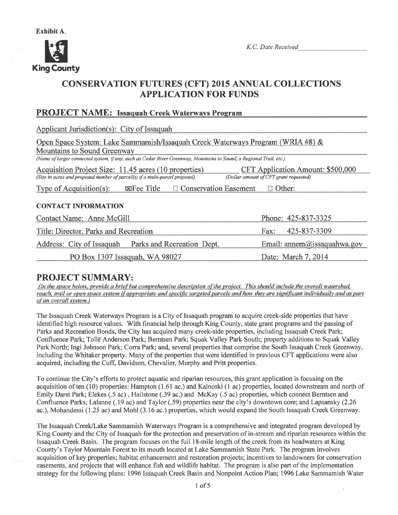

K.C. Date Received

# CONSERVATION FUTURES (CFT) 2015 ANNUAL COLLECTIONS APPLICATION FOR FUNDS

## PROJECT NAME: Issaquah Creek Waterways Program

| Applicant Jurisdiction(s): City of Issaquah                                                                           |                             |  |  |  |  |
|-----------------------------------------------------------------------------------------------------------------------|-----------------------------|--|--|--|--|
| Open Space System: Lake Sammamish/Issaquah Creek Waterways Program (WRIA #8) &                                        |                             |  |  |  |  |
| Mountains to Sound Greenway                                                                                           |                             |  |  |  |  |
| (Name of larger connected system, if any, such as Cedar River Greenway, Mountains to Sound, a Regional Trail, etc.)   |                             |  |  |  |  |
| Acquisition Project Size: 11.45 acres (10 properties)<br>CFT Application Amount: \$500,000                            |                             |  |  |  |  |
| (Size in acres and proposed number of parcel(s) if a multi-parcel proposal)<br>(Dollar amount of CFT grant requested) |                             |  |  |  |  |
| $\Xi$ Fee Title<br>$\Box$ Conservation Easement<br>$\Box$ Other:<br>Type of Acquisition(s):                           |                             |  |  |  |  |
|                                                                                                                       |                             |  |  |  |  |
| <b>CONTACT INFORMATION</b>                                                                                            |                             |  |  |  |  |
| Contact Name: Anne McGill                                                                                             | Phone: 425-837-3325         |  |  |  |  |
| Title: Director, Parks and Recreation                                                                                 | 425-837-3309<br>Fax:        |  |  |  |  |
| Address: City of Issaquah Parks and Recreation Dept.                                                                  | Email: annem@issaquahwa.gov |  |  |  |  |
| PO Box 1307 Issaquah, WA 98027                                                                                        | Date: March 7, 2014         |  |  |  |  |

**PROJECT SUMMARY:**<br>(In the space below, provide a brief but comprehensive description of the project. This should include the overall watershed, reach, trail or open space system if appropriate and specific targeted parcels and how they are significant individually and as part of an overall svstem.)

The Issaquah Creek Waterways Program is a City of Issaquah program to acquire creek-side properties that have identified high resource values. With financial help through King County, state grant programs and the passing of Parks and Recreation Bonds, the City has acquired many creek-side properties, including Issaquah Creek Park; Confluence Park; Tollë Anderson Park; Bemtsen Park; Squak Valley Park South; property additions to Squak Valley Park North; Ingi Johnson Park; Corra Park; and, several properties that comprise the South Issaquah Creek Greenway, including the Whitaker property. Many of the properties that were identified in previous CFT applications were also acquired, including the Cuft Davidson, Chevalier, Murphy and Pritt properties.

To continue the City's efforts to protect aquatic and riparian resources, this grant application is focusing on the acquisition of ten (10) properties: Hampton (1.61 ac.) and Kalnoski (l ac) properties, located downstream and north of Emily Darst Park; Elekes (.5 ac) , Hailstone (.39 ac.) and McKay (.5 ac) properties, which connect Berntsen and Confluence Parks; Lalanne (.19 ac) and Taylor (.59) properties near the city's downtown core; and Lapsansky (2.26 ac.), Mohandessi (1.25 ac) and Mohl (3.16 ac.) properties, which would expand the South Issaquah Creek Greenway.

The Issaquah Creek/Lake Sammamish Waterways Program is a comprehensive and integrated program developed by King County and the City of Issaquah for the protection and preservation of in-stream and riparian resources within the Issaquah Creek Basin. The program focuses on the full 18-mile length of the creek from its headwaters at King County's Taylor Mountain Forest to its mouth located at Lake Sammamish State Park. The program involves acquisition of key properties; habitat enhancement and restoration projects; incentives to landowners for conservation easements, and projects that will enhance fish and wildlife habitat. The program is also part of the implementation strategy for the following plans: 1996 Issaquah Creek Basin and Nonpoint Action Plan; 1996 Lake Sammamish Water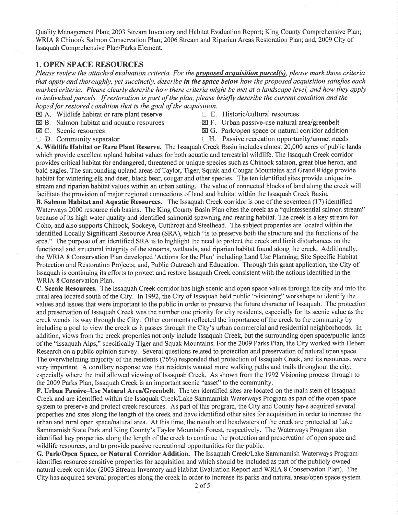Quality Management Plan; 2003 Stream Inventory and Habitat Evaluation Report; King County Comprehensive Plan; WRIA 8 Chinook Salmon Conservation Plan; 2006 Stream and Riparian Areas Restoration Plan; and,2009 City of Issaquah Comprehensive Plan/Parks Element.

#### 1. OPEN SPACE RESOURCES

Please review the attached evaluation criteria. For the **proposed acquisition parcel(s)**, please mark those criteria that apply and thoroughly, yet succinctly, describe in the space below how the proposed acquisition satisfies each marked criteria. Please clearly describe how these criteria might be met at a landscape level, and how they apply to individual parcels. If restoration is part of the plan, please briefly describe the current condition and the hoped for restored condition that is the goal of the acquisition.

- 
- $\boxtimes$  A. Wildlife habitat or rare plant reserve  $\boxtimes$  E. Historic/cultural resources  $\boxtimes$  B. Salmon habitat and aquatic resources  $\boxtimes$  F. Urban passive-use natural a
- 
- 
- $\boxtimes$  B. Salmon habitat and aquatic resources  $\boxtimes$  F. Urban passive-use natural area/greenbelt<br> $\boxtimes$  C. Scenic resources  $\boxtimes$  G. Park/open space or natural corridor addition
	-
- 
- $\boxtimes$  C. Scenic resources<br>  $\boxtimes$  G. Park/open space or natural corridor addition<br>  $\Box$  D. Community separator<br>  $\Box$  H. Passive recreation opportunity/unmet needs  $\Box$  H. Passive recreation opportunity/unmet needs

A. Wildlife Habitat or Rare Plant Reserve. The Issaquah Creek Basin includes almost 20,000 acres of public lands which provide excellent upland habitat values for both aquatic and terrestrial wildlife. The Issaquah Creek corridor provides critical habitat for endangered, threatened or unique species such as Chinook salmon, great blue heron, and bald eagles. The surrounding upland areas of Taylor, Tiger, Squak and Cougar Mountains and Grand Ridge provide habitat for wintering elk and deer, black bear, cougar and other species. The ten identified sites provide unique instream and riparian habitat values within an urban setting. The value of connected blocks of land along the creek will facilitate the provision of major regional connections of land and habitat within the Issaquah Creek Basin.

B. Salmon Habitat and Aquatic Resources. The Issaquah Creek corridor is one of the seventeen (17) identified Waterways 2000 resource rich basins. The King County Basin Plan cites the creek as a "quintessential salmon stream" because of its high water quality and identified salmonid spawning and rearing habitat. The creek is a key stream for Coho, and also supports Chinook, Sockeye, Cutthroat and Steelhead. The subject properties are located within the identified Locally Significant Resource Area (SRA), which "is to preserve both the structure and the functions of the area." The purpose of an identified SRA is to highlight the need to protect the creek and limit disturbances on the functional and structural integrity of the streams, wetlands, and riparian habitat found along the creek. Additionally, the WRIA 8 Conservation Plan developed 'Actions for the Plan' including Land Use Planning; Site Specific Habitat Protection and Restoration Projects; and, Public Outreach and Education. Through this grant application, the City of Issaquah is continuing its efforts to protect and restore Issaquah Creek consistent with the actions identihed in the WRIA 8 Conservation Plan.

C. Scenic Resources. The Issaquah Creek corridor has high scenic and open space values through the city and into the rural area located south of the City. In 1992, the City of Issaquah held public "visioning" workshops to identify the values and issues that were important to the public in order to preserve the future character of Issaquah. The protection and preservation of Issaquah Creek was the number one priority for city residents, especially for its scenic value as the creek wends its way through the City. Other comments reflected the importance of the creek to the community by including a goal to view the creek as it passes through the City's urban commercial and residential neighborhoods. In addition, views from the creek properties not only include Issaquah Creek, but the surrounding open space/public lands of the "Issaquah Alps," specifically Tiger and Squak Mountains. For the 2009 Parks Plan, the City worked with Hebert Research on a public opinion survey. Several questions related to protection and preservation of natural open space. The overwhelming majority of the residents (76%) responded that protection of Issaquah Creek, and its resources, were very important. A corollary response was that residents wanted more walking paths and trails throughout the city, especially where the trail allowed viewing of Issaquah Creek. As shown from the 1992 Visioning process through to the 2009 Parks Plan, Issaquah Creek is an important scenic "asset" to the community.

F. Urban Passive–Use Natural Area/Greenbelt. The ten identified sites are located on the main stem of Issaquah Creek and are identified within the Issaquah Creek/Lake Sammamish Waterways Program as part of the open space system to preserve and protect creek resources. As part of this program, the City and County have acquired several properties and sites along the length of the creek and have identified other sites for acquisition in order to increase the urban and rural open space/natural area. At this time, the mouth and headwaters of the creek are protected atLake Sammamish State Park and King County's Taylor Mountain Forest, respectively. The Waterways Program also identified key properties along the length of the creek to continue the protection and preservation of open space and wildlife resources, and to provide passive recreational opportunities for the public.

G. Park/Open Space, or Natural Corridor Addition. The Issaquah Creek/Lake Sammamish Waterways Program identifies resource sensitive properties for acquisition and which should be included as part of the publicly owned natural creek corridor (2003 Stream Inventory and Habitat Evaluation Report and WRIA 8 Conservation Plan). The City has acquired several propefiies along the creek in order to increase its parks and natural areas/open space system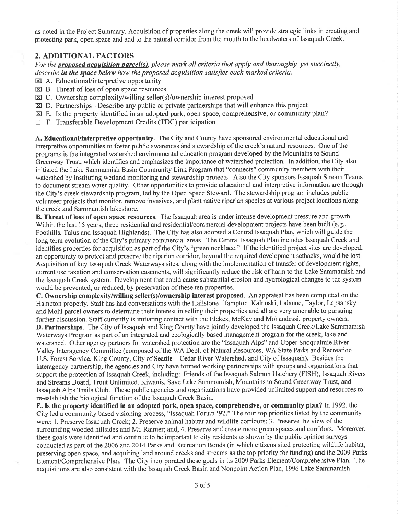as noted in the Project Summary. Acquisition of properties along the creek will provide strategic links in creating and protecting park, open space and add to the natural corridor from the mouth to the headwaters of Issaquah Creek.

#### 2. ADDITIONAL FACTORS

For the **proposed acquisition parcel(s)**, please mark all criteria that apply and thoroughly, yet succinctly, describe in the space below how the proposed acquisition satisfies each marked criteria.

- $\boxtimes$  A. Educational/interpretive opportunity
- $\boxtimes$  B. Threat of loss of open space resources
- $\boxtimes$  C. Ownership complexity/willing seller(s)/ownership interest proposed
- $\boxtimes$  D. Partnerships Describe any public or private partnerships that will enhance this project
- $\boxtimes$  E. Is the property identified in an adopted park, open space, comprehensive, or community plan?
- l F. Transferable Development Credits (TDC) participation

A. Educational/interpretive opportunity. The City and County have sponsored environmental educational and interpretive opportunities to foster public awareness ánd stewardship of the creek's natural resources. One of the programs is the integrated watershed environmental education program developed by the Mountains to Sound Greenway Trust, which identifies and emphasizes the importance of watershed protection. In addition, the City also initiated the Lake Sammamish Basin Community Link Program that "connects" community members with their watershed by instituting wetland monitoring and stewardship projects. Also the City sponsors Issaquah Stream Teams to document stream water quality. Other opportunities to provide educational and interpretive information are through the City's creek stewardship program, led by the Open Space Steward. The stewardship program includes public volunteer projects that monitor, remove invasives, and plant native riparian species at various project locations along the creek and Sammamish lakeshore.

B. Threat of loss of open space resources. The Issaquah area is under intense development pressure and growth. Within the last 15 years, three residential and residential/commercial development projects have been built (e.g., Foothills, Talus and Issaquah Highlands). The City has also adopted a Central Issaquah Plan, which will guide the long-term evolution of the City's primary commercial areas. The Central Issaquah Plan includes Issaquah Creek and identifies properties for acquisition as part of the City's "green necklace." If the identified project sites are developed, an opportunity to protect and preserve the riparian corridor, beyond the required development setbacks, would be lost. Acquisition of key Issaquah Creek Waterways sites, along with the implementation of transfer of development rights, current use taxation and conservation easements, will significantly reduce the risk of harm to the Lake Sammamish and the Issaquah Creek system. Development that could cause substantial erosion and hydrological changes to the system would be prevented, or reduced, by preservation of these ten properties.

C. Ownership complexity/willing seller(s)/ownership interest proposed. An appraisal has been completed on the Hampton property. Staff has had conversations with the Hailstone, Hampton, Kalnoski, Lalanne, Taylor, Lapsansky and Mohl parcel owners to determine their interest in selling their properties and all are very amenable to pursuing further discussion. Staff currently is initiating contact with the Elekes, McKay and Mohandessi, property owners.

D. Partnerships. The City of Issaquah and King County have jointly developed the Issaquah Creek/Lake Sammamish Waterways Program as part of an integrated and ecologically based management program for the creek, lake and watershed. Other agency partners for watershed protection are the "Issaquah Alps" and Upper Snoqualmie River Valley Interagency Committee (composed of the WA Dept. of Natural Resources, WA State Parks and Recreation, U.S. Forest Service, King County, City of Seattle - Cedar River Watershed, and City of Issaquah). Besides the interagency partnership, the agencies and City have formed working partnerships with groups and organizafions that support the protection of Issaquah Creek, including: Friends of the Issaquah Salmon Hatchery (FISH), Issaquah Rivers and Streams Board, Trout Unlimited, Kiwanis, Save Lake Sammamish, Mountains to Sound Greenway Trust, and Issaquah Alps Trails Club. These public agencies and organizations have provided unlimited support and resources to re-establish the biological function of the Issaquah Creek Basin.

E. Is the property identified in an adopted park, open space, comprehensive, or community plan? In 1992, the City led a community based visioning process, "Issaquah Forum '92." The four top priorities listed by the community were: 1. Preserve Issaquah Creek; 2. Preserve animal habitat and wildlife corridors; 3. Preserve the view of the surrounding wooded hillsides and Mt. Rainier; and,4. Preserve and create more green spaces and corridors. Moreover, these goals were identified and continue to be important to city residents as shown by the public opinion surveys conducted as part of the 2006 and 2014 Parks and Recreation Bonds (in which citizens sited protecting wildlife habitat, preserving open space, and acquiring land around creeks and streams as the top priority for funding) and the 2009 Parks Element/Comprehensive Plan. The City incorporated these goals in its 2009 Parks Element/Comprehensive Plan. The acquisitions are also consistent with the Issaquah Creek Basin and Nonpoint Action Plan, 1996 Lake Sammamish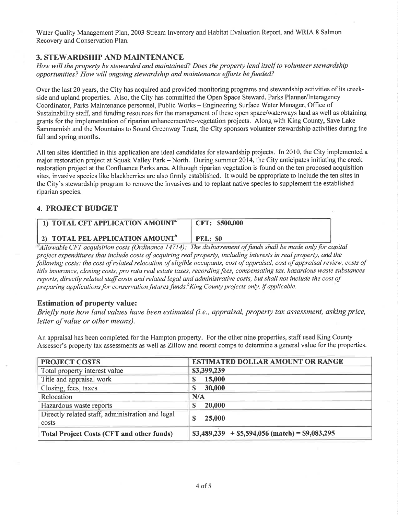Water Quality Management Plan, 2003 Stream Inventory and Habitat Evaluation Report, and WRIA 8 Salmon Recovery and Conservation Plan.

#### 3. STEWARDSHIP AND MAINTENANCE

How will the property be stewarded and maintained? Does the property lend itself to volunteer stewardship opportunities? How will ongoing stewardship and maintenance efforts befunded?

Over the last 20 years, the City has acquired and provided monitoring programs and stewardship activities of its creekside and upland properties. Also, the City has committed the Open Space Steward, Parks Planner/Interagency Coordinator, Parks Maintenance personnel, Public Works - Engineering Surface Water Manager, Office of Sustainability staff, and funding resources for the management of these open space/waterways land as well as obtaining grants for the implementation of riparian enhancement/re-vegetation projects. Along with King County, Save Lake Sammamish and the Mountains to Sound Greenway Trust, the City sponsors volunteer stewardship activities during the fall and spring months.

All ten sites identifìed in this application are ideal candidates for stewardship projects. In 2010, the City implemented a major restoration project at Squak Valley Park – North. During summer 2014, the City anticipates initiating the creek restoration project at the Confluence Parks area. Although riparian vegetation is found on the ten proposed acquisition sites, invasive species like blackberries are also firmly established. It would be appropriate to include the ten sites in the City's stewardship program to remove the invasives and to replant native species to supplement the established riparian species.

#### 4. PROJECT BUDGET

| 1) TOTAL CFT APPLICATION AMOUNT <sup>a</sup>        | CFT: \$500,000  |
|-----------------------------------------------------|-----------------|
| <b>2) TOTAL PEL APPLICATION AMOUNT</b> <sup>0</sup> | <b>PEL: \$0</b> |

 $^a$ Allowable CFT acquisition costs (Ordinance 14714): The disbursement of funds shall be made only for capital project expenditures that include costs of acquiring real property, including interests in real property, and the following costs: the cost of related relocation of eligible occupants, cost of appraisal, cost of appraisal review, costs of title insurance, closing costs, pro rata real estate taxes, recording fees, compensating tax, hazardous waste substances reports, directly related staff costs and related legal and administrative costs, but shall not include the cost of preparing applications for conservation futures funds.<sup>b</sup>King County projects only, if applicable.

#### Estimation of property value:

Briefly note how land values have been estimated (i.e., appraisal, property tax assessment, asking price, letter of value or other means).

An appraisal has been completed for the Hampton property. For the other nine propefties, staff used King County Assessor's property tax assessments as well as Zillow and recent comps to determine a general value for the properties.

| <b>PROJECT COSTS</b>                                      | <b>ESTIMATED DOLLAR AMOUNT OR RANGE</b>                |  |  |
|-----------------------------------------------------------|--------------------------------------------------------|--|--|
| Total property interest value                             | \$3,399,239                                            |  |  |
| Title and appraisal work                                  | 15,000                                                 |  |  |
| Closing, fees, taxes                                      | 30,000                                                 |  |  |
| Relocation                                                | N/A                                                    |  |  |
| Hazardous waste reports                                   | 20,000                                                 |  |  |
| Directly related staff, administration and legal<br>costs | 25,000                                                 |  |  |
| <b>Total Project Costs (CFT and other funds)</b>          | $$3,489,239 + $5,594,056 \text{ (match)} = $9,083,295$ |  |  |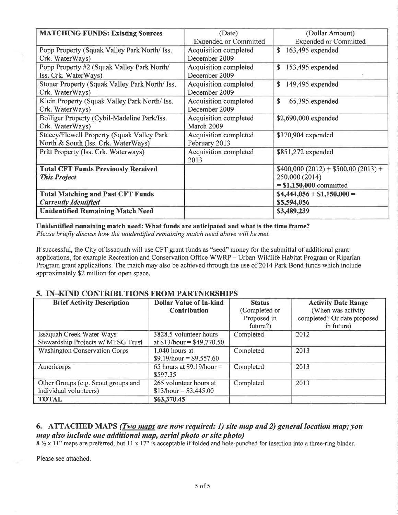| <b>MATCHING FUNDS: Existing Sources</b>        | (Date)<br>(Dollar Amount)    |                                      |
|------------------------------------------------|------------------------------|--------------------------------------|
|                                                | <b>Expended or Committed</b> | <b>Expended or Committed</b>         |
| Popp Property (Squak Valley Park North/ Iss.   | Acquisition completed        | $\mathbb{S}$<br>163,495 expended     |
| Crk. WaterWays)                                | December 2009                |                                      |
| Popp Property #2 (Squak Valley Park North/     | Acquisition completed        | $153,495$ expended<br>$\mathbb{S}$   |
| Iss. Crk. WaterWays)                           | December 2009                |                                      |
| Stoner Property (Squak Valley Park North/ Iss. | Acquisition completed        | \$<br>149,495 expended               |
| Crk. WaterWays)                                | December 2009                |                                      |
| Klein Property (Squak Valley Park North/ Iss.  | Acquisition completed        | \$<br>65,395 expended                |
| Crk. WaterWays)                                | December 2009                |                                      |
| Bolliger Property (Cybil-Madeline Park/Iss.    | Acquisition completed        | \$2,690,000 expended                 |
| Crk. WaterWays)                                | March 2009                   |                                      |
| Stacey/Flewell Property (Squak Valley Park     | Acquisition completed        | \$370,904 expended                   |
| North & South (Iss. Crk. WaterWays)            | February 2013                |                                      |
| Pritt Property (Iss. Crk. Waterways)           | <b>Acquisition completed</b> | \$851,272 expended                   |
|                                                | 2013                         |                                      |
| <b>Total CFT Funds Previously Received</b>     |                              | $$400,000 (2012) + $500,00 (2013) +$ |
| <b>This Project</b>                            |                              | 250,000 (2014)                       |
|                                                |                              | $= $1,150,000$ committed             |
| <b>Total Matching and Past CFT Funds</b>       |                              | $$4,444,056 + $1,150,000 =$          |
| <b>Currently Identified</b>                    |                              | \$5,594,056                          |
| <b>Unidentified Remaining Match Need</b>       |                              | \$3,489,239                          |
|                                                |                              |                                      |

Unidentified remaining match need: What funds are anticipated and what is the time frame? Please briefly discuss how the unidentified remaining match need above will be met.

If successful, the City of Issaquah will use CFT grant funds as "seed" money for the submittal of additional grant applications, for example Recreation and Conservation Office WWRP - Urban Wildlife Habitat Program or Riparian Program grant applications. The match may also be achieved through the use of 2014 Park Bond funds which include approximately \$2 million for open space.

#### 5. IN-KIND CONTRIBUTIONS FROM PARTNERSHIPS

| <b>Brief Activity Description</b>    | <b>Dollar Value of In-kind</b> | <b>Status</b> | <b>Activity Date Range</b>  |
|--------------------------------------|--------------------------------|---------------|-----------------------------|
|                                      | <b>Contribution</b>            | (Completed or | (When was activity          |
|                                      |                                | Proposed in   | completed? Or date proposed |
|                                      |                                | future?)      | in future)                  |
| Issaquah Creek Water Ways            | 3828.5 volunteer hours         | Completed     | 2012                        |
| Stewardship Projects w/ MTSG Trust   | at $$13/hour = $49,770.50$     |               |                             |
| <b>Washington Conservation Corps</b> | 1,040 hours at                 | Completed     | 2013                        |
|                                      | $$9.19/hour = $9,557.60$       |               |                             |
| Americorps                           | 65 hours at \$9.19/hour =      | Completed     | 2013                        |
|                                      | \$597.35                       |               |                             |
| Other Groups (e.g. Scout groups and  | 265 volunteer hours at         | Completed     | 2013                        |
| individual volunteers)               | $$13/hour = $3,445.00$         |               |                             |
| <b>TOTAL</b>                         | \$63,370.45                    |               |                             |

### 6. ATTACHED MAPS (*Two maps are now required: 1*) site map and 2) general location map; you may also include one additional map, aerial photo or site photo)

 $8\frac{1}{2}$  x 11" maps are preferred, but 11 x 17" is acceptable if folded and hole-punched for insertion into a three-ring binder.

Please see attached.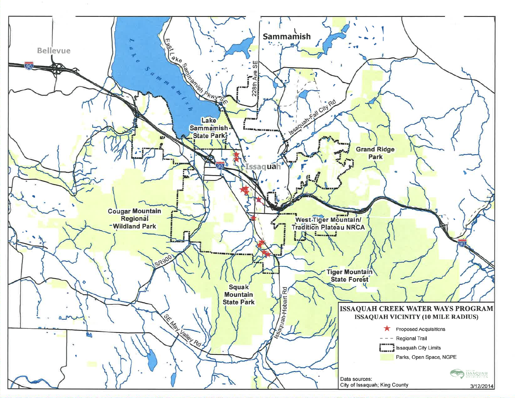